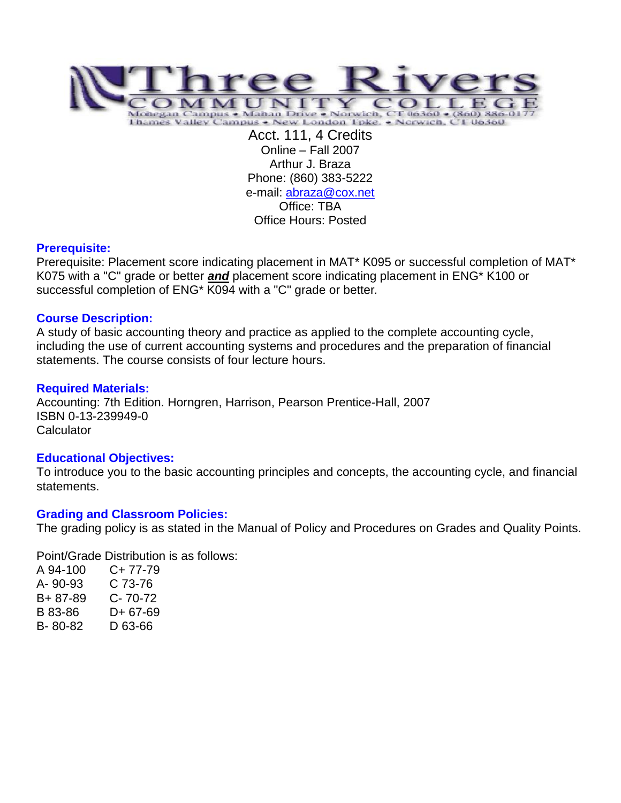

Acct. 111, 4 Credits Online – Fall 2007 Arthur J. Braza Phone: (860) 383-5222 e-mail: [abraza@cox.net](mailto:abraza@cox.net) Office: TBA Office Hours: Posted

#### **Prerequisite:**

Prerequisite: Placement score indicating placement in MAT\* K095 or successful completion of MAT\* K075 with a "C" grade or better *and* placement score indicating placement in ENG\* K100 or successful completion of ENG\* K094 with a "C" grade or better*.*

### **Course Description:**

A study of basic accounting theory and practice as applied to the complete accounting cycle, including the use of current accounting systems and procedures and the preparation of financial statements. The course consists of four lecture hours.

# **Required Materials:**

Accounting: 7th Edition. Horngren, Harrison, Pearson Prentice-Hall, 2007 ISBN 0-13-239949-0 **Calculator** 

### **Educational Objectives:**

To introduce you to the basic accounting principles and concepts, the accounting cycle, and financial statements.

### **Grading and Classroom Policies:**

The grading policy is as stated in the Manual of Policy and Procedures on Grades and Quality Points.

Point/Grade Distribution is as follows:

| A 94-100 | C+ 77-79 |
|----------|----------|
| A-90-93  | C 73-76  |
| B+87-89  | C- 70-72 |
| B 83-86  | D+67-69  |
| B-80-82  | D 63-66  |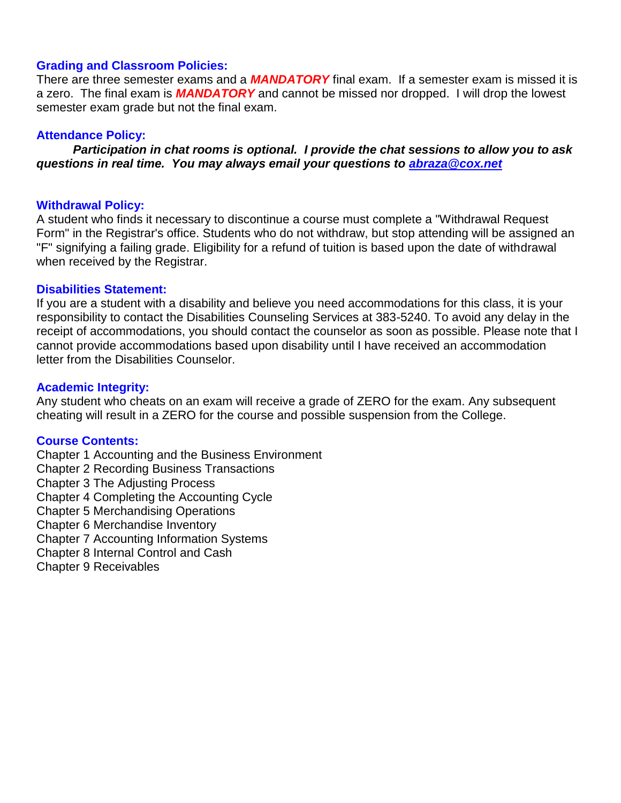## **Grading and Classroom Policies:**

There are three semester exams and a *MANDATORY* final exam. If a semester exam is missed it is a zero. The final exam is *MANDATORY* and cannot be missed nor dropped. I will drop the lowest semester exam grade but not the final exam.

## **Attendance Policy:**

*Participation in chat rooms is optional. I provide the chat sessions to allow you to ask questions in real time. You may always email your questions to [abraza@cox.net](mailto:abraza@cox.net)*

### **Withdrawal Policy:**

A student who finds it necessary to discontinue a course must complete a "Withdrawal Request Form" in the Registrar's office. Students who do not withdraw, but stop attending will be assigned an "F" signifying a failing grade. Eligibility for a refund of tuition is based upon the date of withdrawal when received by the Registrar.

# **Disabilities Statement:**

If you are a student with a disability and believe you need accommodations for this class, it is your responsibility to contact the Disabilities Counseling Services at 383-5240. To avoid any delay in the receipt of accommodations, you should contact the counselor as soon as possible. Please note that I cannot provide accommodations based upon disability until I have received an accommodation letter from the Disabilities Counselor.

# **Academic Integrity:**

Any student who cheats on an exam will receive a grade of ZERO for the exam. Any subsequent cheating will result in a ZERO for the course and possible suspension from the College.

### **Course Contents:**

Chapter 1 Accounting and the Business Environment

Chapter 2 Recording Business Transactions

Chapter 3 The Adjusting Process

Chapter 4 Completing the Accounting Cycle

Chapter 5 Merchandising Operations

Chapter 6 Merchandise Inventory

Chapter 7 Accounting Information Systems

Chapter 8 Internal Control and Cash

Chapter 9 Receivables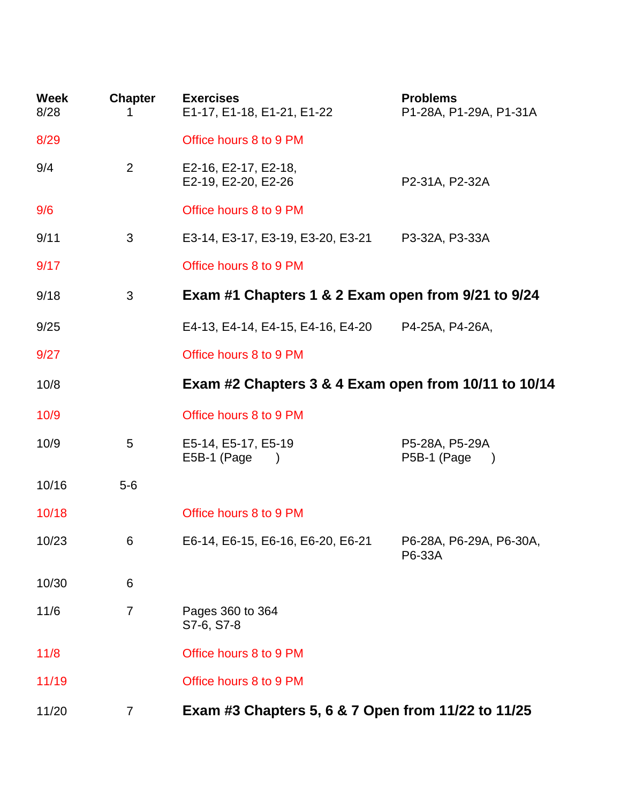| <b>Week</b><br>8/28 | <b>Chapter</b><br>1. | <b>Exercises</b><br>E1-17, E1-18, E1-21, E1-22       | <b>Problems</b><br>P1-28A, P1-29A, P1-31A      |  |
|---------------------|----------------------|------------------------------------------------------|------------------------------------------------|--|
| 8/29                |                      | Office hours 8 to 9 PM                               |                                                |  |
| 9/4                 | $\overline{2}$       | E2-16, E2-17, E2-18,<br>E2-19, E2-20, E2-26          | P2-31A, P2-32A                                 |  |
| 9/6                 |                      | Office hours 8 to 9 PM                               |                                                |  |
| 9/11                | 3                    | E3-14, E3-17, E3-19, E3-20, E3-21                    | P3-32A, P3-33A                                 |  |
| 9/17                |                      | Office hours 8 to 9 PM                               |                                                |  |
| 9/18                | 3                    | Exam #1 Chapters 1 & 2 Exam open from 9/21 to 9/24   |                                                |  |
| 9/25                |                      | E4-13, E4-14, E4-15, E4-16, E4-20                    | P4-25A, P4-26A,                                |  |
| 9/27                |                      | Office hours 8 to 9 PM                               |                                                |  |
| 10/8                |                      | Exam #2 Chapters 3 & 4 Exam open from 10/11 to 10/14 |                                                |  |
| 10/9                |                      | Office hours 8 to 9 PM                               |                                                |  |
| 10/9                | 5                    | E5-14, E5-17, E5-19<br>E5B-1 (Page                   | P5-28A, P5-29A<br>P5B-1 (Page<br>$\rightarrow$ |  |
| 10/16               | $5-6$                |                                                      |                                                |  |
| 10/18               |                      | Office hours 8 to 9 PM                               |                                                |  |
| 10/23               | 6                    | E6-14, E6-15, E6-16, E6-20, E6-21                    | P6-28A, P6-29A, P6-30A,<br>P6-33A              |  |
| 10/30               | 6                    |                                                      |                                                |  |
| 11/6                | $\overline{7}$       | Pages 360 to 364<br>S7-6, S7-8                       |                                                |  |
| 11/8                |                      | Office hours 8 to 9 PM                               |                                                |  |
| 11/19               |                      | Office hours 8 to 9 PM                               |                                                |  |
| 11/20               | 7                    | Exam #3 Chapters 5, 6 & 7 Open from 11/22 to 11/25   |                                                |  |